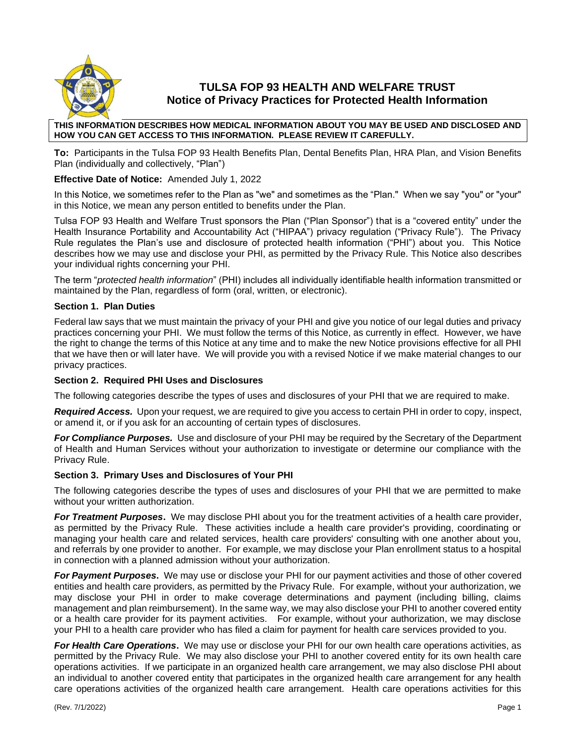

# **TULSA FOP 93 HEALTH AND WELFARE TRUST Notice of Privacy Practices for Protected Health Information**

#### **THIS INFORMATION DESCRIBES HOW MEDICAL INFORMATION ABOUT YOU MAY BE USED AND DISCLOSED AND HOW YOU CAN GET ACCESS TO THIS INFORMATION. PLEASE REVIEW IT CAREFULLY.**

**To:** Participants in the Tulsa FOP 93 Health Benefits Plan, Dental Benefits Plan, HRA Plan, and Vision Benefits Plan (individually and collectively, "Plan")

## **Effective Date of Notice:** Amended July 1, 2022

In this Notice, we sometimes refer to the Plan as "we" and sometimes as the "Plan." When we say "you" or "your" in this Notice, we mean any person entitled to benefits under the Plan.

Tulsa FOP 93 Health and Welfare Trust sponsors the Plan ("Plan Sponsor") that is a "covered entity" under the Health Insurance Portability and Accountability Act ("HIPAA") privacy regulation ("Privacy Rule"). The Privacy Rule regulates the Plan's use and disclosure of protected health information ("PHI") about you. This Notice describes how we may use and disclose your PHI, as permitted by the Privacy Rule. This Notice also describes your individual rights concerning your PHI.

The term "*protected health information*" (PHI) includes all individually identifiable health information transmitted or maintained by the Plan, regardless of form (oral, written, or electronic).

## **Section 1. Plan Duties**

Federal law says that we must maintain the privacy of your PHI and give you notice of our legal duties and privacy practices concerning your PHI. We must follow the terms of this Notice, as currently in effect. However, we have the right to change the terms of this Notice at any time and to make the new Notice provisions effective for all PHI that we have then or will later have. We will provide you with a revised Notice if we make material changes to our privacy practices.

## **Section 2. Required PHI Uses and Disclosures**

The following categories describe the types of uses and disclosures of your PHI that we are required to make.

*Required Access.* Upon your request, we are required to give you access to certain PHI in order to copy, inspect, or amend it, or if you ask for an accounting of certain types of disclosures.

*For Compliance Purposes.* Use and disclosure of your PHI may be required by the Secretary of the Department of Health and Human Services without your authorization to investigate or determine our compliance with the Privacy Rule.

## **Section 3. Primary Uses and Disclosures of Your PHI**

The following categories describe the types of uses and disclosures of your PHI that we are permitted to make without your written authorization.

*For Treatment Purposes***.** We may disclose PHI about you for the treatment activities of a health care provider, as permitted by the Privacy Rule. These activities include a health care provider's providing, coordinating or managing your health care and related services, health care providers' consulting with one another about you, and referrals by one provider to another. For example, we may disclose your Plan enrollment status to a hospital in connection with a planned admission without your authorization.

*For Payment Purposes***.** We may use or disclose your PHI for our payment activities and those of other covered entities and health care providers, as permitted by the Privacy Rule. For example, without your authorization, we may disclose your PHI in order to make coverage determinations and payment (including billing, claims management and plan reimbursement). In the same way, we may also disclose your PHI to another covered entity or a health care provider for its payment activities. For example, without your authorization, we may disclose your PHI to a health care provider who has filed a claim for payment for health care services provided to you.

*For Health Care Operations***.** We may use or disclose your PHI for our own health care operations activities, as permitted by the Privacy Rule. We may also disclose your PHI to another covered entity for its own health care operations activities. If we participate in an organized health care arrangement, we may also disclose PHI about an individual to another covered entity that participates in the organized health care arrangement for any health care operations activities of the organized health care arrangement. Health care operations activities for this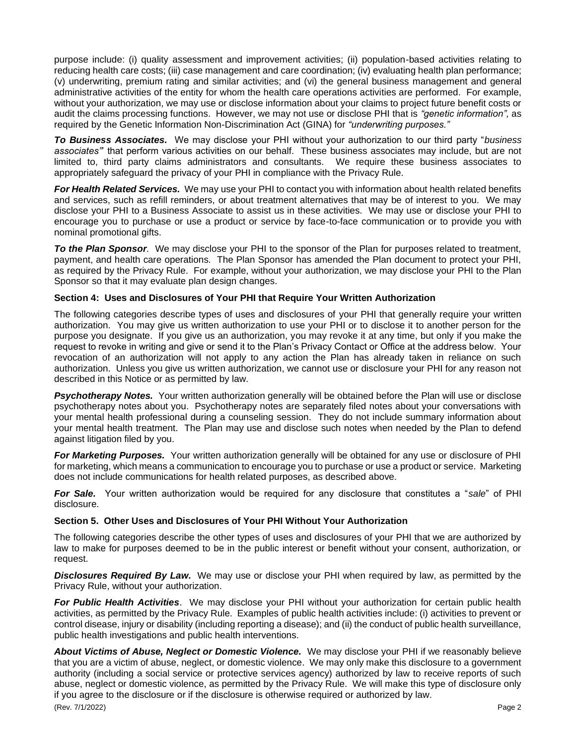purpose include: (i) quality assessment and improvement activities; (ii) population-based activities relating to reducing health care costs; (iii) case management and care coordination; (iv) evaluating health plan performance; (v) underwriting, premium rating and similar activities; and (vi) the general business management and general administrative activities of the entity for whom the health care operations activities are performed. For example, without your authorization, we may use or disclose information about your claims to project future benefit costs or audit the claims processing functions. However, we may not use or disclose PHI that is *"genetic information",* as required by the Genetic Information Non-Discrimination Act (GINA) for *"underwriting purposes."*

*To Business Associates.* We may disclose your PHI without your authorization to our third party "*business associates"*' that perform various activities on our behalf. These business associates may include, but are not limited to, third party claims administrators and consultants. We require these business associates to appropriately safeguard the privacy of your PHI in compliance with the Privacy Rule.

*For Health Related Services.* We may use your PHI to contact you with information about health related benefits and services, such as refill reminders, or about treatment alternatives that may be of interest to you. We may disclose your PHI to a Business Associate to assist us in these activities. We may use or disclose your PHI to encourage you to purchase or use a product or service by face-to-face communication or to provide you with nominal promotional gifts.

*To the Plan Sponsor.* We may disclose your PHI to the sponsor of the Plan for purposes related to treatment, payment, and health care operations. The Plan Sponsor has amended the Plan document to protect your PHI, as required by the Privacy Rule. For example, without your authorization, we may disclose your PHI to the Plan Sponsor so that it may evaluate plan design changes.

## **Section 4: Uses and Disclosures of Your PHI that Require Your Written Authorization**

The following categories describe types of uses and disclosures of your PHI that generally require your written authorization. You may give us written authorization to use your PHI or to disclose it to another person for the purpose you designate. If you give us an authorization, you may revoke it at any time, but only if you make the request to revoke in writing and give or send it to the Plan's Privacy Contact or Office at the address below. Your revocation of an authorization will not apply to any action the Plan has already taken in reliance on such authorization. Unless you give us written authorization, we cannot use or disclosure your PHI for any reason not described in this Notice or as permitted by law.

**Psychotherapy Notes.** Your written authorization generally will be obtained before the Plan will use or disclose psychotherapy notes about you. Psychotherapy notes are separately filed notes about your conversations with your mental health professional during a counseling session. They do not include summary information about your mental health treatment. The Plan may use and disclose such notes when needed by the Plan to defend against litigation filed by you.

*For Marketing Purposes.* Your written authorization generally will be obtained for any use or disclosure of PHI for marketing, which means a communication to encourage you to purchase or use a product or service. Marketing does not include communications for health related purposes, as described above.

*For Sale.* Your written authorization would be required for any disclosure that constitutes a "*sale*" of PHI disclosure*.*

## **Section 5. Other Uses and Disclosures of Your PHI Without Your Authorization**

The following categories describe the other types of uses and disclosures of your PHI that we are authorized by law to make for purposes deemed to be in the public interest or benefit without your consent, authorization, or request.

*Disclosures Required By Law***.** We may use or disclose your PHI when required by law, as permitted by the Privacy Rule, without your authorization.

*For Public Health Activities*. We may disclose your PHI without your authorization for certain public health activities, as permitted by the Privacy Rule. Examples of public health activities include: (i) activities to prevent or control disease, injury or disability (including reporting a disease); and (ii) the conduct of public health surveillance, public health investigations and public health interventions.

(Rev. 7/1/2022) Page 2 About Victims of Abuse, Neglect or Domestic Violence. We may disclose your PHI if we reasonably believe that you are a victim of abuse, neglect, or domestic violence. We may only make this disclosure to a government authority (including a social service or protective services agency) authorized by law to receive reports of such abuse, neglect or domestic violence, as permitted by the Privacy Rule. We will make this type of disclosure only if you agree to the disclosure or if the disclosure is otherwise required or authorized by law.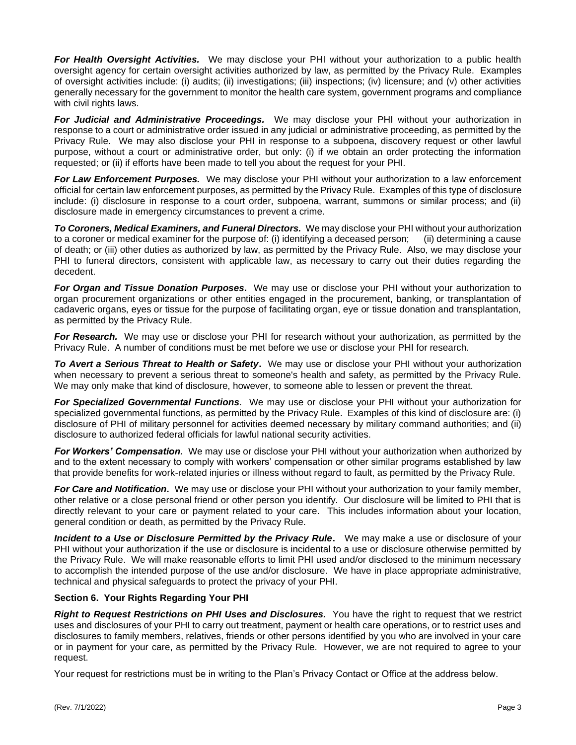*For Health Oversight Activities.* We may disclose your PHI without your authorization to a public health oversight agency for certain oversight activities authorized by law, as permitted by the Privacy Rule. Examples of oversight activities include: (i) audits; (ii) investigations; (iii) inspections; (iv) licensure; and (v) other activities generally necessary for the government to monitor the health care system, government programs and compliance with civil rights laws.

*For Judicial and Administrative Proceedings.* We may disclose your PHI without your authorization in response to a court or administrative order issued in any judicial or administrative proceeding, as permitted by the Privacy Rule. We may also disclose your PHI in response to a subpoena, discovery request or other lawful purpose, without a court or administrative order, but only: (i) if we obtain an order protecting the information requested; or (ii) if efforts have been made to tell you about the request for your PHI.

*For Law Enforcement Purposes.* We may disclose your PHI without your authorization to a law enforcement official for certain law enforcement purposes, as permitted by the Privacy Rule. Examples of this type of disclosure include: (i) disclosure in response to a court order, subpoena, warrant, summons or similar process; and (ii) disclosure made in emergency circumstances to prevent a crime.

*To Coroners, Medical Examiners, and Funeral Directors.* We may disclose your PHI without your authorization to a coroner or medical examiner for the purpose of: (i) identifying a deceased person; (ii) determining a cause of death; or (iii) other duties as authorized by law, as permitted by the Privacy Rule. Also, we may disclose your PHI to funeral directors, consistent with applicable law, as necessary to carry out their duties regarding the decedent.

*For Organ and Tissue Donation Purposes***.** We may use or disclose your PHI without your authorization to organ procurement organizations or other entities engaged in the procurement, banking, or transplantation of cadaveric organs, eyes or tissue for the purpose of facilitating organ, eye or tissue donation and transplantation, as permitted by the Privacy Rule.

*For Research.* We may use or disclose your PHI for research without your authorization, as permitted by the Privacy Rule. A number of conditions must be met before we use or disclose your PHI for research.

*To Avert a Serious Threat to Health or Safety***.** We may use or disclose your PHI without your authorization when necessary to prevent a serious threat to someone's health and safety, as permitted by the Privacy Rule. We may only make that kind of disclosure, however, to someone able to lessen or prevent the threat.

*For Specialized Governmental Functions.* We may use or disclose your PHI without your authorization for specialized governmental functions, as permitted by the Privacy Rule. Examples of this kind of disclosure are: (i) disclosure of PHI of military personnel for activities deemed necessary by military command authorities; and (ii) disclosure to authorized federal officials for lawful national security activities.

*For Workers' Compensation.* We may use or disclose your PHI without your authorization when authorized by and to the extent necessary to comply with workers' compensation or other similar programs established by law that provide benefits for work-related injuries or illness without regard to fault, as permitted by the Privacy Rule.

*For Care and Notification***.** We may use or disclose your PHI without your authorization to your family member, other relative or a close personal friend or other person you identify. Our disclosure will be limited to PHI that is directly relevant to your care or payment related to your care. This includes information about your location, general condition or death, as permitted by the Privacy Rule.

*Incident to a Use or Disclosure Permitted by the Privacy Rule***.** We may make a use or disclosure of your PHI without your authorization if the use or disclosure is incidental to a use or disclosure otherwise permitted by the Privacy Rule. We will make reasonable efforts to limit PHI used and/or disclosed to the minimum necessary to accomplish the intended purpose of the use and/or disclosure. We have in place appropriate administrative, technical and physical safeguards to protect the privacy of your PHI.

## **Section 6. Your Rights Regarding Your PHI**

*Right to Request Restrictions on PHI Uses and Disclosures.* You have the right to request that we restrict uses and disclosures of your PHI to carry out treatment, payment or health care operations, or to restrict uses and disclosures to family members, relatives, friends or other persons identified by you who are involved in your care or in payment for your care, as permitted by the Privacy Rule. However, we are not required to agree to your request.

Your request for restrictions must be in writing to the Plan's Privacy Contact or Office at the address below.